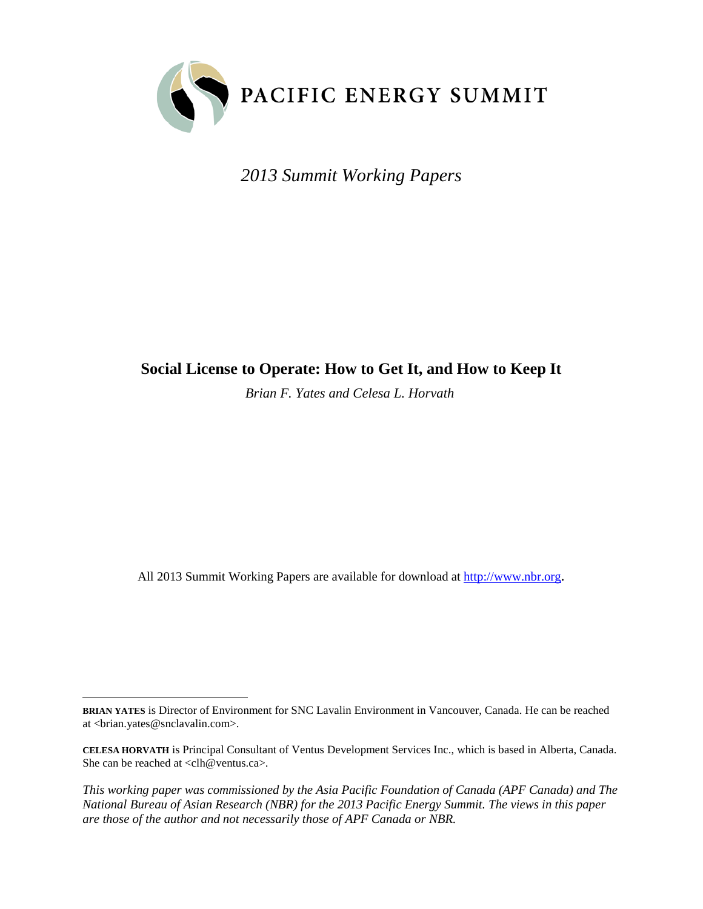

*2013 Summit Working Papers*

# **Social License to Operate: How to Get It, and How to Keep It**

*Brian F. Yates and Celesa L. Horvath*

All 2013 Summit Working Papers are available for download at [http://www.nbr.org](http://www.nbr.org/).

*This working paper was commissioned by the Asia Pacific Foundation of Canada (APF Canada) and The National Bureau of Asian Research (NBR) for the 2013 Pacific Energy Summit. The views in this paper are those of the author and not necessarily those of APF Canada or NBR.* 

 $\ddot{ }$ **BRIAN YATES** is Director of Environment for SNC Lavalin Environment in Vancouver, Canada. He can be reached at <br/> <br/> <br/> <br/> <br/> <br/>sates@snclavalin.com>.

**CELESA HORVATH** is Principal Consultant of Ventus Development Services Inc., which is based in Alberta, Canada. She can be reached at <clh@ventus.ca>.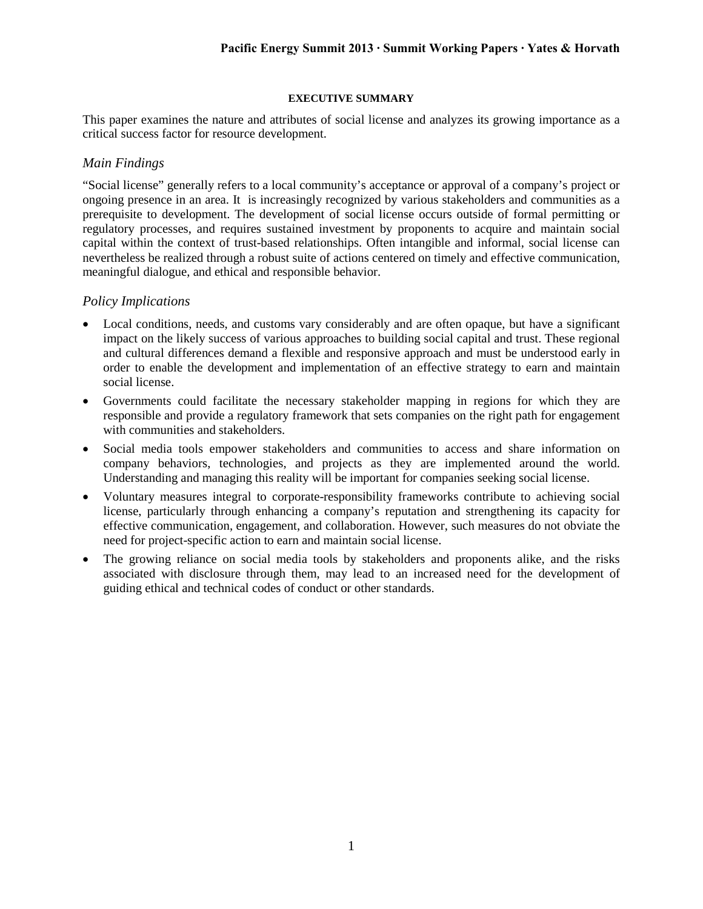# **EXECUTIVE SUMMARY**

This paper examines the nature and attributes of social license and analyzes its growing importance as a critical success factor for resource development.

# *Main Findings*

"Social license" generally refers to a local community's acceptance or approval of a company's project or ongoing presence in an area. It is increasingly recognized by various stakeholders and communities as a prerequisite to development. The development of social license occurs outside of formal permitting or regulatory processes, and requires sustained investment by proponents to acquire and maintain social capital within the context of trust-based relationships. Often intangible and informal, social license can nevertheless be realized through a robust suite of actions centered on timely and effective communication, meaningful dialogue, and ethical and responsible behavior.

# *Policy Implications*

- Local conditions, needs, and customs vary considerably and are often opaque, but have a significant impact on the likely success of various approaches to building social capital and trust. These regional and cultural differences demand a flexible and responsive approach and must be understood early in order to enable the development and implementation of an effective strategy to earn and maintain social license.
- Governments could facilitate the necessary stakeholder mapping in regions for which they are responsible and provide a regulatory framework that sets companies on the right path for engagement with communities and stakeholders.
- Social media tools empower stakeholders and communities to access and share information on company behaviors, technologies, and projects as they are implemented around the world. Understanding and managing this reality will be important for companies seeking social license.
- Voluntary measures integral to corporate-responsibility frameworks contribute to achieving social license, particularly through enhancing a company's reputation and strengthening its capacity for effective communication, engagement, and collaboration. However, such measures do not obviate the need for project-specific action to earn and maintain social license.
- The growing reliance on social media tools by stakeholders and proponents alike, and the risks associated with disclosure through them, may lead to an increased need for the development of guiding ethical and technical codes of conduct or other standards.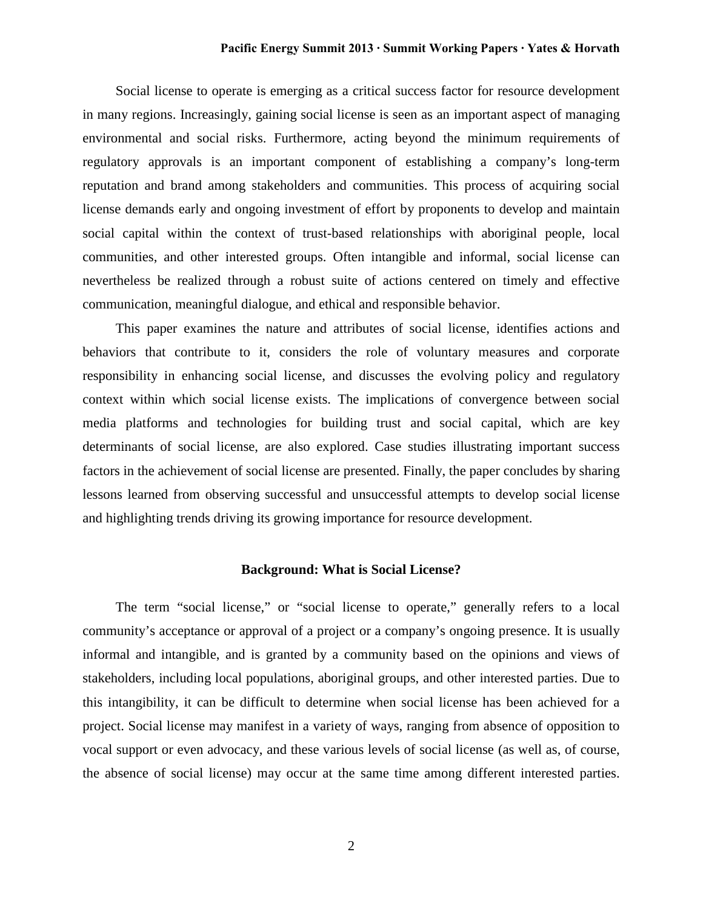Social license to operate is emerging as a critical success factor for resource development in many regions. Increasingly, gaining social license is seen as an important aspect of managing environmental and social risks. Furthermore, acting beyond the minimum requirements of regulatory approvals is an important component of establishing a company's long-term reputation and brand among stakeholders and communities. This process of acquiring social license demands early and ongoing investment of effort by proponents to develop and maintain social capital within the context of trust-based relationships with aboriginal people, local communities, and other interested groups. Often intangible and informal, social license can nevertheless be realized through a robust suite of actions centered on timely and effective communication, meaningful dialogue, and ethical and responsible behavior.

This paper examines the nature and attributes of social license, identifies actions and behaviors that contribute to it, considers the role of voluntary measures and corporate responsibility in enhancing social license, and discusses the evolving policy and regulatory context within which social license exists. The implications of convergence between social media platforms and technologies for building trust and social capital, which are key determinants of social license, are also explored. Case studies illustrating important success factors in the achievement of social license are presented. Finally, the paper concludes by sharing lessons learned from observing successful and unsuccessful attempts to develop social license and highlighting trends driving its growing importance for resource development.

### **Background: What is Social License?**

The term "social license," or "social license to operate," generally refers to a local community's acceptance or approval of a project or a company's ongoing presence. It is usually informal and intangible, and is granted by a community based on the opinions and views of stakeholders, including local populations, aboriginal groups, and other interested parties. Due to this intangibility, it can be difficult to determine when social license has been achieved for a project. Social license may manifest in a variety of ways, ranging from absence of opposition to vocal support or even advocacy, and these various levels of social license (as well as, of course, the absence of social license) may occur at the same time among different interested parties.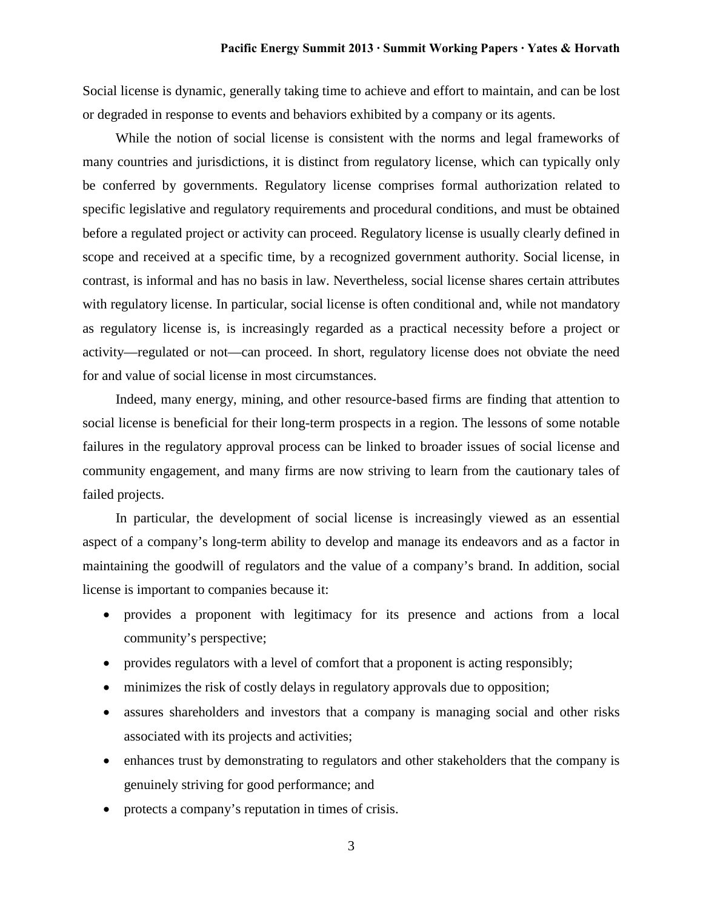Social license is dynamic, generally taking time to achieve and effort to maintain, and can be lost or degraded in response to events and behaviors exhibited by a company or its agents.

While the notion of social license is consistent with the norms and legal frameworks of many countries and jurisdictions, it is distinct from regulatory license, which can typically only be conferred by governments. Regulatory license comprises formal authorization related to specific legislative and regulatory requirements and procedural conditions, and must be obtained before a regulated project or activity can proceed. Regulatory license is usually clearly defined in scope and received at a specific time, by a recognized government authority. Social license, in contrast, is informal and has no basis in law. Nevertheless, social license shares certain attributes with regulatory license. In particular, social license is often conditional and, while not mandatory as regulatory license is, is increasingly regarded as a practical necessity before a project or activity—regulated or not—can proceed. In short, regulatory license does not obviate the need for and value of social license in most circumstances.

Indeed, many energy, mining, and other resource-based firms are finding that attention to social license is beneficial for their long-term prospects in a region. The lessons of some notable failures in the regulatory approval process can be linked to broader issues of social license and community engagement, and many firms are now striving to learn from the cautionary tales of failed projects.

In particular, the development of social license is increasingly viewed as an essential aspect of a company's long-term ability to develop and manage its endeavors and as a factor in maintaining the goodwill of regulators and the value of a company's brand. In addition, social license is important to companies because it:

- provides a proponent with legitimacy for its presence and actions from a local community's perspective;
- provides regulators with a level of comfort that a proponent is acting responsibly;
- minimizes the risk of costly delays in regulatory approvals due to opposition;
- assures shareholders and investors that a company is managing social and other risks associated with its projects and activities;
- enhances trust by demonstrating to regulators and other stakeholders that the company is genuinely striving for good performance; and
- protects a company's reputation in times of crisis.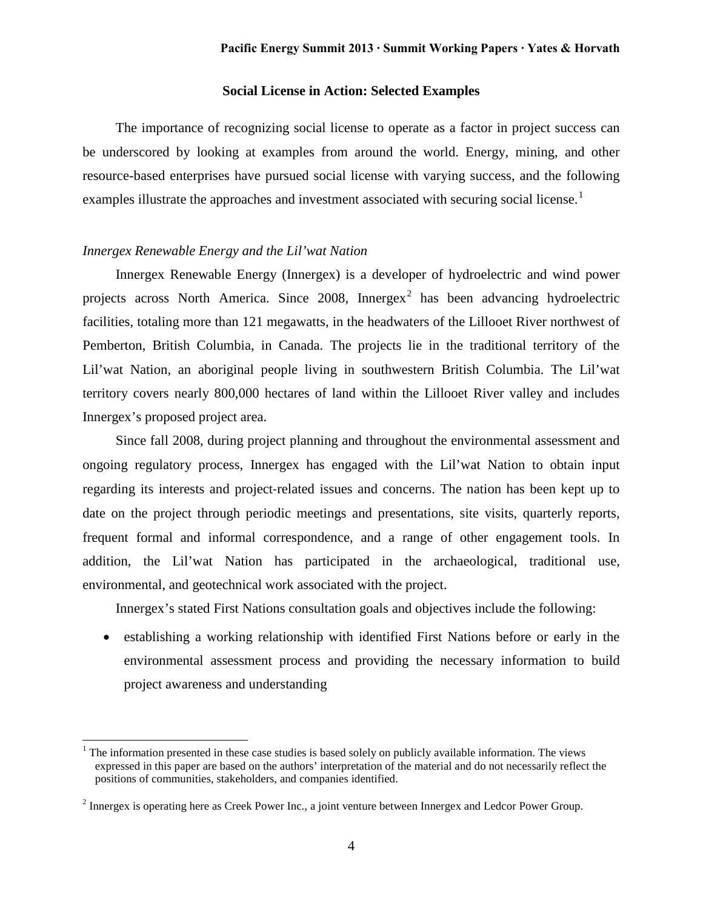# **Social License in Action: Selected Examples**

The importance of recognizing social license to operate as a factor in project success can be underscored by looking at examples from around the world. Energy, mining, and other resource-based enterprises have pursued social license with varying success, and the following examples illustrate the approaches and investment associated with securing social license.<sup>[1](#page-4-0)</sup>

# *Innergex Renewable Energy and the Lil'wat Nation*

Innergex Renewable Energy (Innergex) is a developer of hydroelectric and wind power projects across North America. Since  $2008$  $2008$ , Innergex<sup>2</sup> has been advancing hydroelectric facilities, totaling more than 121 megawatts, in the headwaters of the Lillooet River northwest of Pemberton, British Columbia, in Canada. The projects lie in the traditional territory of the Lil'wat Nation, an aboriginal people living in southwestern British Columbia. The Lil'wat territory covers nearly 800,000 hectares of land within the Lillooet River valley and includes Innergex's proposed project area.

Since fall 2008, during project planning and throughout the environmental assessment and ongoing regulatory process, Innergex has engaged with the Lil'wat Nation to obtain input regarding its interests and project‐related issues and concerns. The nation has been kept up to date on the project through periodic meetings and presentations, site visits, quarterly reports, frequent formal and informal correspondence, and a range of other engagement tools. In addition, the Lil'wat Nation has participated in the archaeological, traditional use, environmental, and geotechnical work associated with the project.

Innergex's stated First Nations consultation goals and objectives include the following:

• establishing a working relationship with identified First Nations before or early in the environmental assessment process and providing the necessary information to build project awareness and understanding

<span id="page-4-0"></span><sup>&</sup>lt;sup>1</sup> The information presented in these case studies is based solely on publicly available information. The views expressed in this paper are based on the authors' interpretation of the material and do not necessarily reflect the positions of communities, stakeholders, and companies identified.

<span id="page-4-1"></span><sup>&</sup>lt;sup>2</sup> Innergex is operating here as Creek Power Inc., a joint venture between Innergex and Ledcor Power Group.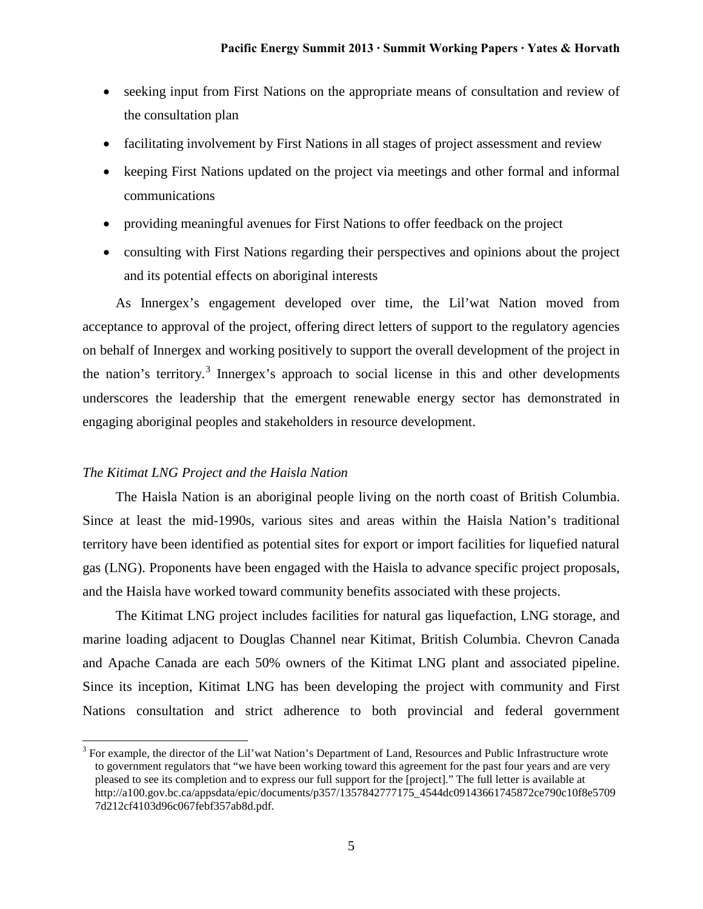- seeking input from First Nations on the appropriate means of consultation and review of the consultation plan
- facilitating involvement by First Nations in all stages of project assessment and review
- keeping First Nations updated on the project via meetings and other formal and informal communications
- providing meaningful avenues for First Nations to offer feedback on the project
- consulting with First Nations regarding their perspectives and opinions about the project and its potential effects on aboriginal interests

As Innergex's engagement developed over time, the Lil'wat Nation moved from acceptance to approval of the project, offering direct letters of support to the regulatory agencies on behalf of Innergex and working positively to support the overall development of the project in the nation's territory.<sup>[3](#page-5-0)</sup> Innergex's approach to social license in this and other developments underscores the leadership that the emergent renewable energy sector has demonstrated in engaging aboriginal peoples and stakeholders in resource development.

### *The Kitimat LNG Project and the Haisla Nation*

The Haisla Nation is an aboriginal people living on the north coast of British Columbia. Since at least the mid-1990s, various sites and areas within the Haisla Nation's traditional territory have been identified as potential sites for export or import facilities for liquefied natural gas (LNG). Proponents have been engaged with the Haisla to advance specific project proposals, and the Haisla have worked toward community benefits associated with these projects.

The Kitimat LNG project includes facilities for natural gas liquefaction, LNG storage, and marine loading adjacent to Douglas Channel near Kitimat, British Columbia. Chevron Canada and Apache Canada are each 50% owners of the Kitimat LNG plant and associated pipeline. Since its inception, Kitimat LNG has been developing the project with community and First Nations consultation and strict adherence to both provincial and federal government

<span id="page-5-0"></span> $3$  For example, the director of the Lil'wat Nation's Department of Land, Resources and Public Infrastructure wrote to government regulators that "we have been working toward this agreement for the past four years and are very pleased to see its completion and to express our full support for the [project]." The full letter is available at http://a100.gov.bc.ca/appsdata/epic/documents/p357/1357842777175\_4544dc09143661745872ce790c10f8e5709 7d212cf4103d96c067febf357ab8d.pdf.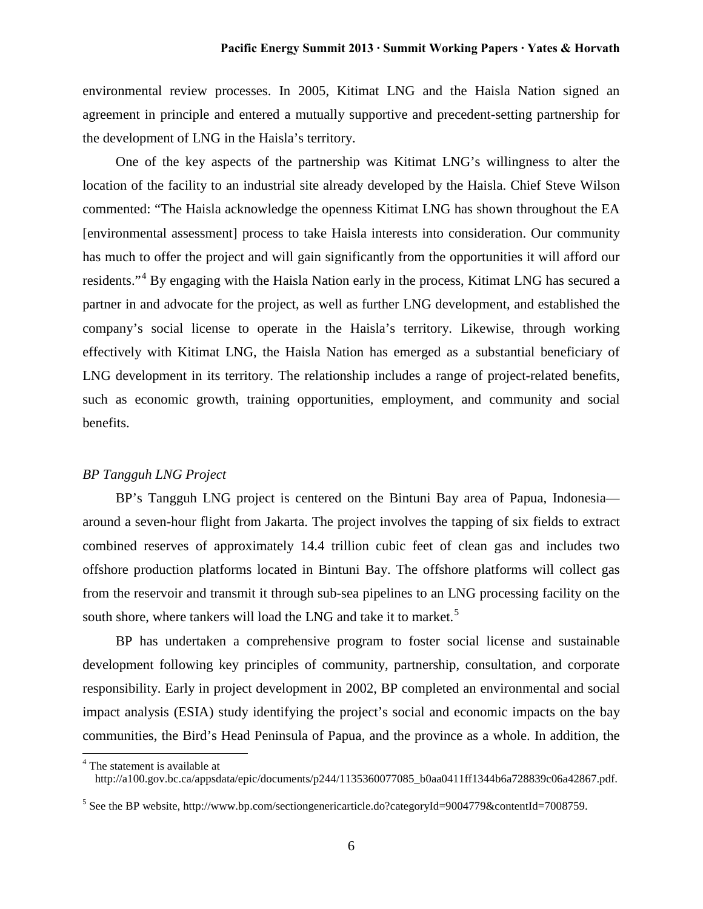environmental review processes. In 2005, Kitimat LNG and the Haisla Nation signed an agreement in principle and entered a mutually supportive and precedent-setting partnership for the development of LNG in the Haisla's territory.

One of the key aspects of the partnership was Kitimat LNG's willingness to alter the location of the facility to an industrial site already developed by the Haisla. Chief Steve Wilson commented: "The Haisla acknowledge the openness Kitimat LNG has shown throughout the EA [environmental assessment] process to take Haisla interests into consideration. Our community has much to offer the project and will gain significantly from the opportunities it will afford our residents."[4](#page-6-0) By engaging with the Haisla Nation early in the process, Kitimat LNG has secured a partner in and advocate for the project, as well as further LNG development, and established the company's social license to operate in the Haisla's territory. Likewise, through working effectively with Kitimat LNG, the Haisla Nation has emerged as a substantial beneficiary of LNG development in its territory. The relationship includes a range of project-related benefits, such as economic growth, training opportunities, employment, and community and social benefits.

# *BP Tangguh LNG Project*

BP's Tangguh LNG project is centered on the Bintuni Bay area of Papua, Indonesia around a seven-hour flight from Jakarta. The project involves the tapping of six fields to extract combined reserves of approximately 14.4 trillion cubic feet of clean gas and includes two offshore production platforms located in Bintuni Bay. The offshore platforms will collect gas from the reservoir and transmit it through sub-sea pipelines to an LNG processing facility on the south shore, where tankers will load the LNG and take it to market.<sup>[5](#page-6-1)</sup>

BP has undertaken a comprehensive program to foster social license and sustainable development following key principles of community, partnership, consultation, and corporate responsibility. Early in project development in 2002, BP completed an environmental and social impact analysis (ESIA) study identifying the project's social and economic impacts on the bay communities, the Bird's Head Peninsula of Papua, and the province as a whole. In addition, the

<span id="page-6-0"></span><sup>4</sup> The statement is available at http://a100.gov.bc.ca/appsdata/epic/documents/p244/1135360077085\_b0aa0411ff1344b6a728839c06a42867.pdf.

<span id="page-6-1"></span><sup>5</sup> See the BP website, http://www.bp.com/sectiongenericarticle.do?categoryId=9004779&contentId=7008759.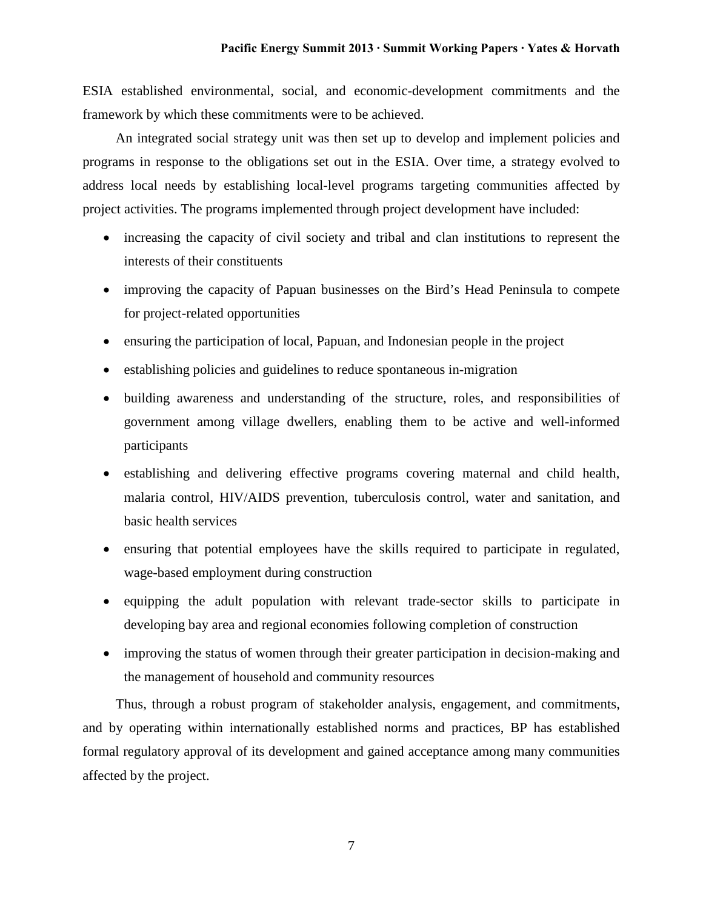ESIA established environmental, social, and economic-development commitments and the framework by which these commitments were to be achieved.

An integrated social strategy unit was then set up to develop and implement policies and programs in response to the obligations set out in the ESIA. Over time, a strategy evolved to address local needs by establishing local-level programs targeting communities affected by project activities. The programs implemented through project development have included:

- increasing the capacity of civil society and tribal and clan institutions to represent the interests of their constituents
- improving the capacity of Papuan businesses on the Bird's Head Peninsula to compete for project-related opportunities
- ensuring the participation of local, Papuan, and Indonesian people in the project
- establishing policies and guidelines to reduce spontaneous in-migration
- building awareness and understanding of the structure, roles, and responsibilities of government among village dwellers, enabling them to be active and well-informed participants
- establishing and delivering effective programs covering maternal and child health, malaria control, HIV/AIDS prevention, tuberculosis control, water and sanitation, and basic health services
- ensuring that potential employees have the skills required to participate in regulated, wage-based employment during construction
- equipping the adult population with relevant trade-sector skills to participate in developing bay area and regional economies following completion of construction
- improving the status of women through their greater participation in decision-making and the management of household and community resources

Thus, through a robust program of stakeholder analysis, engagement, and commitments, and by operating within internationally established norms and practices, BP has established formal regulatory approval of its development and gained acceptance among many communities affected by the project.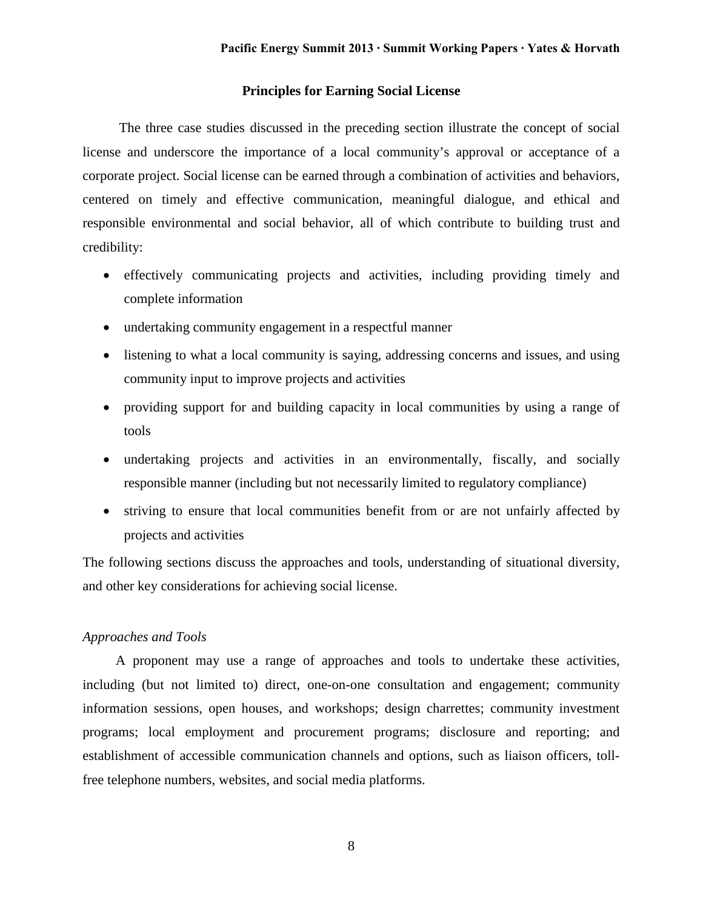# **Principles for Earning Social License**

The three case studies discussed in the preceding section illustrate the concept of social license and underscore the importance of a local community's approval or acceptance of a corporate project. Social license can be earned through a combination of activities and behaviors, centered on timely and effective communication, meaningful dialogue, and ethical and responsible environmental and social behavior, all of which contribute to building trust and credibility:

- effectively communicating projects and activities, including providing timely and complete information
- undertaking community engagement in a respectful manner
- listening to what a local community is saying, addressing concerns and issues, and using community input to improve projects and activities
- providing support for and building capacity in local communities by using a range of tools
- undertaking projects and activities in an environmentally, fiscally, and socially responsible manner (including but not necessarily limited to regulatory compliance)
- striving to ensure that local communities benefit from or are not unfairly affected by projects and activities

The following sections discuss the approaches and tools, understanding of situational diversity, and other key considerations for achieving social license.

# *Approaches and Tools*

A proponent may use a range of approaches and tools to undertake these activities, including (but not limited to) direct, one-on-one consultation and engagement; community information sessions, open houses, and workshops; design charrettes; community investment programs; local employment and procurement programs; disclosure and reporting; and establishment of accessible communication channels and options, such as liaison officers, tollfree telephone numbers, websites, and social media platforms.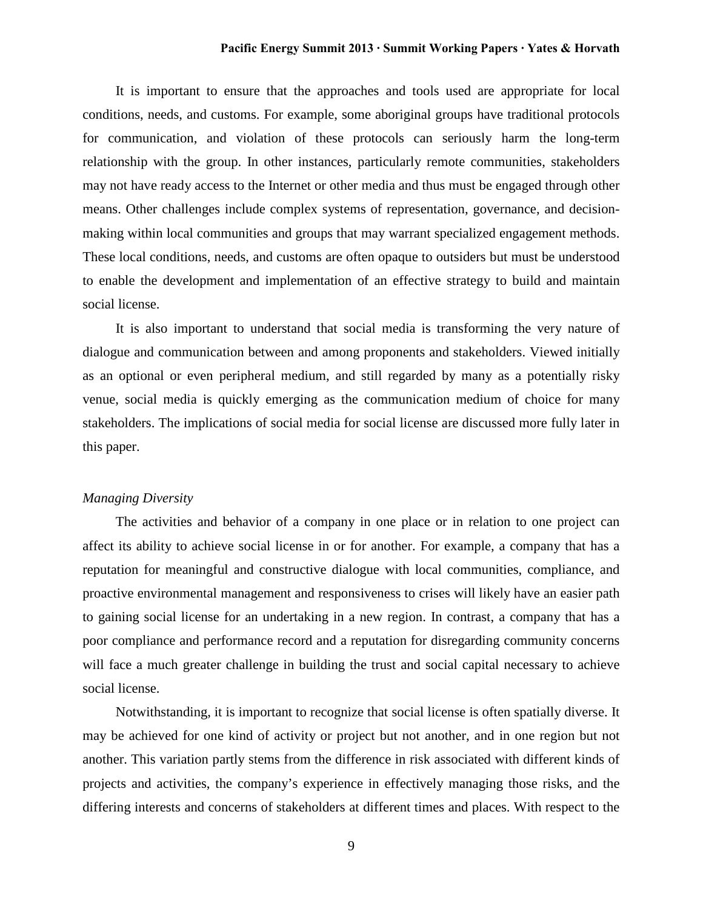It is important to ensure that the approaches and tools used are appropriate for local conditions, needs, and customs. For example, some aboriginal groups have traditional protocols for communication, and violation of these protocols can seriously harm the long-term relationship with the group. In other instances, particularly remote communities, stakeholders may not have ready access to the Internet or other media and thus must be engaged through other means. Other challenges include complex systems of representation, governance, and decisionmaking within local communities and groups that may warrant specialized engagement methods. These local conditions, needs, and customs are often opaque to outsiders but must be understood to enable the development and implementation of an effective strategy to build and maintain social license.

It is also important to understand that social media is transforming the very nature of dialogue and communication between and among proponents and stakeholders. Viewed initially as an optional or even peripheral medium, and still regarded by many as a potentially risky venue, social media is quickly emerging as the communication medium of choice for many stakeholders. The implications of social media for social license are discussed more fully later in this paper.

# *Managing Diversity*

The activities and behavior of a company in one place or in relation to one project can affect its ability to achieve social license in or for another. For example, a company that has a reputation for meaningful and constructive dialogue with local communities, compliance, and proactive environmental management and responsiveness to crises will likely have an easier path to gaining social license for an undertaking in a new region. In contrast, a company that has a poor compliance and performance record and a reputation for disregarding community concerns will face a much greater challenge in building the trust and social capital necessary to achieve social license.

Notwithstanding, it is important to recognize that social license is often spatially diverse. It may be achieved for one kind of activity or project but not another, and in one region but not another. This variation partly stems from the difference in risk associated with different kinds of projects and activities, the company's experience in effectively managing those risks, and the differing interests and concerns of stakeholders at different times and places. With respect to the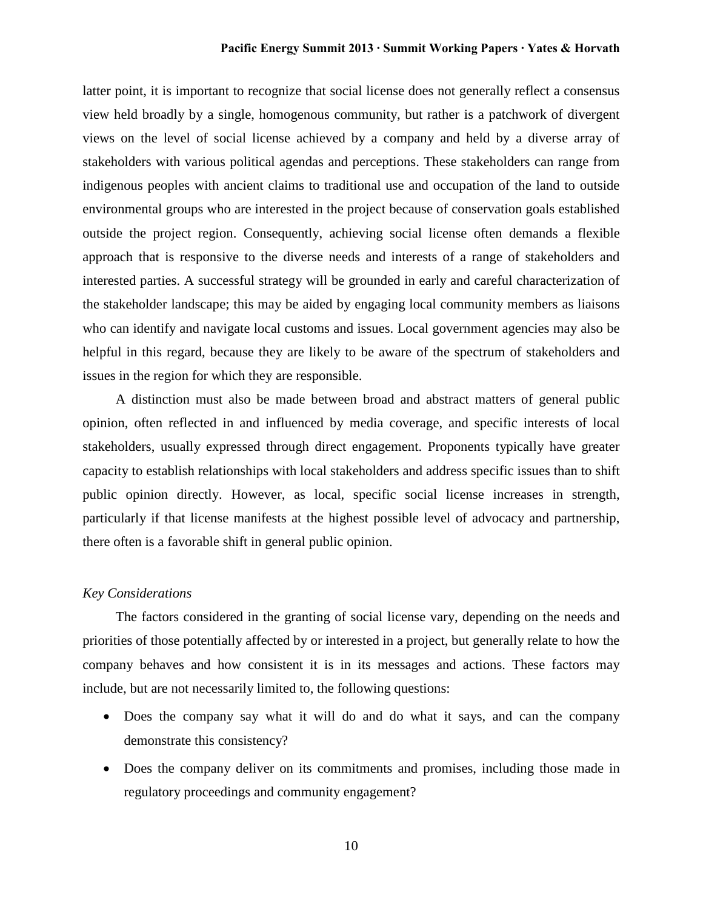latter point, it is important to recognize that social license does not generally reflect a consensus view held broadly by a single, homogenous community, but rather is a patchwork of divergent views on the level of social license achieved by a company and held by a diverse array of stakeholders with various political agendas and perceptions. These stakeholders can range from indigenous peoples with ancient claims to traditional use and occupation of the land to outside environmental groups who are interested in the project because of conservation goals established outside the project region. Consequently, achieving social license often demands a flexible approach that is responsive to the diverse needs and interests of a range of stakeholders and interested parties. A successful strategy will be grounded in early and careful characterization of the stakeholder landscape; this may be aided by engaging local community members as liaisons who can identify and navigate local customs and issues. Local government agencies may also be helpful in this regard, because they are likely to be aware of the spectrum of stakeholders and issues in the region for which they are responsible.

A distinction must also be made between broad and abstract matters of general public opinion, often reflected in and influenced by media coverage, and specific interests of local stakeholders, usually expressed through direct engagement. Proponents typically have greater capacity to establish relationships with local stakeholders and address specific issues than to shift public opinion directly. However, as local, specific social license increases in strength, particularly if that license manifests at the highest possible level of advocacy and partnership, there often is a favorable shift in general public opinion.

## *Key Considerations*

The factors considered in the granting of social license vary, depending on the needs and priorities of those potentially affected by or interested in a project, but generally relate to how the company behaves and how consistent it is in its messages and actions. These factors may include, but are not necessarily limited to, the following questions:

- Does the company say what it will do and do what it says, and can the company demonstrate this consistency?
- Does the company deliver on its commitments and promises, including those made in regulatory proceedings and community engagement?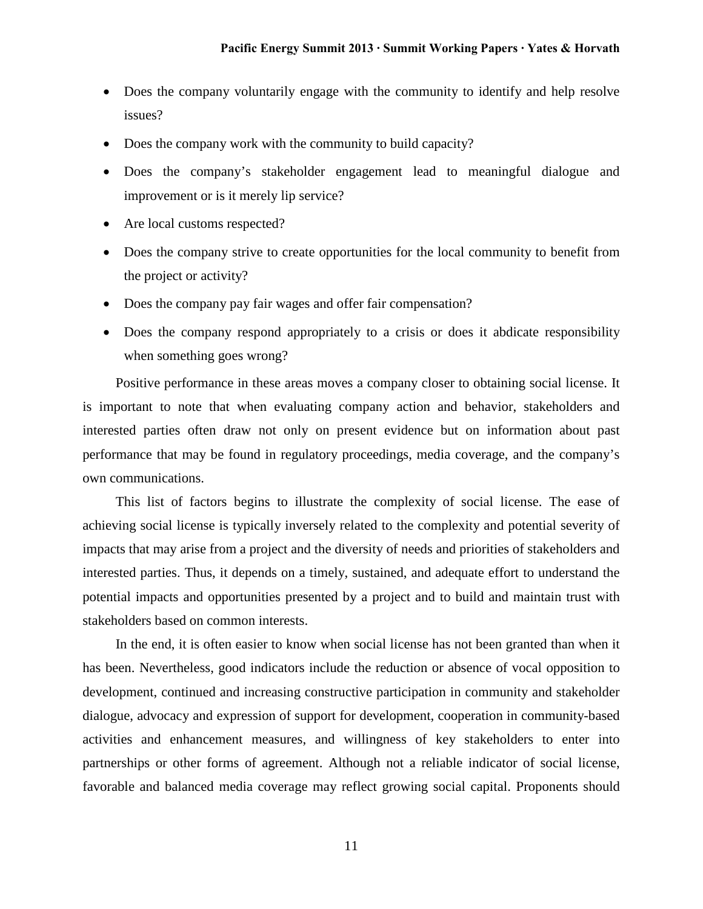- Does the company voluntarily engage with the community to identify and help resolve issues?
- Does the company work with the community to build capacity?
- Does the company's stakeholder engagement lead to meaningful dialogue and improvement or is it merely lip service?
- Are local customs respected?
- Does the company strive to create opportunities for the local community to benefit from the project or activity?
- Does the company pay fair wages and offer fair compensation?
- Does the company respond appropriately to a crisis or does it abdicate responsibility when something goes wrong?

Positive performance in these areas moves a company closer to obtaining social license. It is important to note that when evaluating company action and behavior, stakeholders and interested parties often draw not only on present evidence but on information about past performance that may be found in regulatory proceedings, media coverage, and the company's own communications.

This list of factors begins to illustrate the complexity of social license. The ease of achieving social license is typically inversely related to the complexity and potential severity of impacts that may arise from a project and the diversity of needs and priorities of stakeholders and interested parties. Thus, it depends on a timely, sustained, and adequate effort to understand the potential impacts and opportunities presented by a project and to build and maintain trust with stakeholders based on common interests.

In the end, it is often easier to know when social license has not been granted than when it has been. Nevertheless, good indicators include the reduction or absence of vocal opposition to development, continued and increasing constructive participation in community and stakeholder dialogue, advocacy and expression of support for development, cooperation in community-based activities and enhancement measures, and willingness of key stakeholders to enter into partnerships or other forms of agreement. Although not a reliable indicator of social license, favorable and balanced media coverage may reflect growing social capital. Proponents should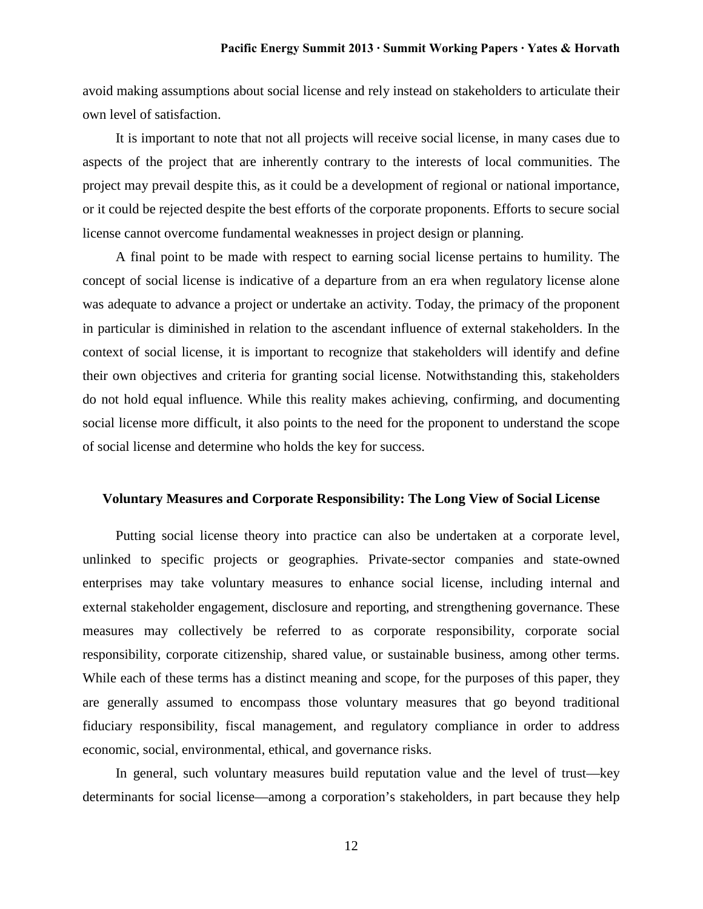avoid making assumptions about social license and rely instead on stakeholders to articulate their own level of satisfaction.

It is important to note that not all projects will receive social license, in many cases due to aspects of the project that are inherently contrary to the interests of local communities. The project may prevail despite this, as it could be a development of regional or national importance, or it could be rejected despite the best efforts of the corporate proponents. Efforts to secure social license cannot overcome fundamental weaknesses in project design or planning.

A final point to be made with respect to earning social license pertains to humility. The concept of social license is indicative of a departure from an era when regulatory license alone was adequate to advance a project or undertake an activity. Today, the primacy of the proponent in particular is diminished in relation to the ascendant influence of external stakeholders. In the context of social license, it is important to recognize that stakeholders will identify and define their own objectives and criteria for granting social license. Notwithstanding this, stakeholders do not hold equal influence. While this reality makes achieving, confirming, and documenting social license more difficult, it also points to the need for the proponent to understand the scope of social license and determine who holds the key for success.

### **Voluntary Measures and Corporate Responsibility: The Long View of Social License**

Putting social license theory into practice can also be undertaken at a corporate level, unlinked to specific projects or geographies. Private-sector companies and state-owned enterprises may take voluntary measures to enhance social license, including internal and external stakeholder engagement, disclosure and reporting, and strengthening governance. These measures may collectively be referred to as corporate responsibility, corporate social responsibility, corporate citizenship, shared value, or sustainable business, among other terms. While each of these terms has a distinct meaning and scope, for the purposes of this paper, they are generally assumed to encompass those voluntary measures that go beyond traditional fiduciary responsibility, fiscal management, and regulatory compliance in order to address economic, social, environmental, ethical, and governance risks.

In general, such voluntary measures build reputation value and the level of trust—key determinants for social license—among a corporation's stakeholders, in part because they help

12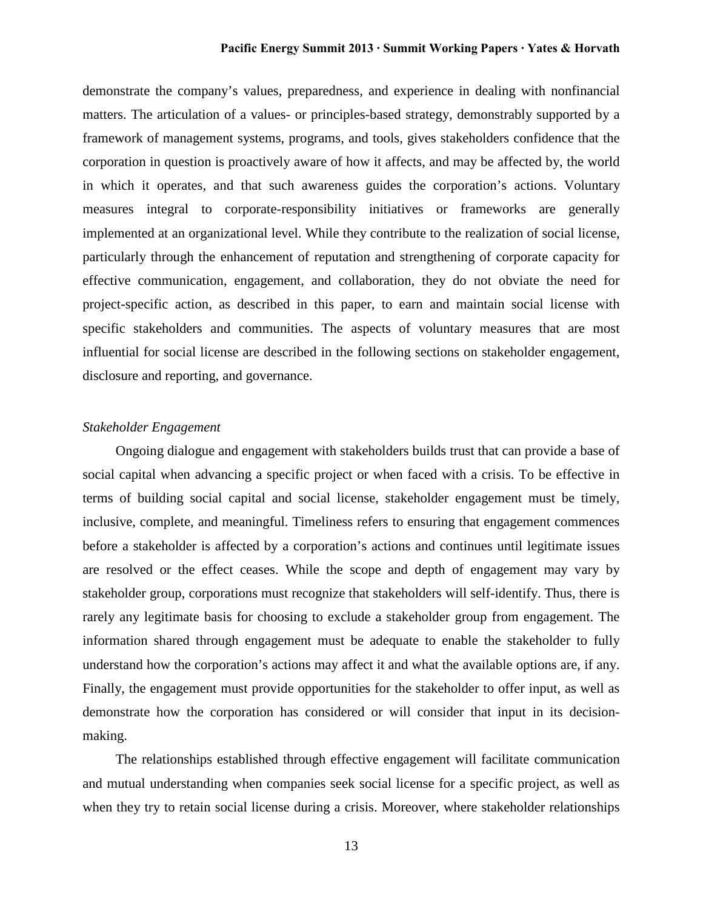demonstrate the company's values, preparedness, and experience in dealing with nonfinancial matters. The articulation of a values- or principles-based strategy, demonstrably supported by a framework of management systems, programs, and tools, gives stakeholders confidence that the corporation in question is proactively aware of how it affects, and may be affected by, the world in which it operates, and that such awareness guides the corporation's actions. Voluntary measures integral to corporate-responsibility initiatives or frameworks are generally implemented at an organizational level. While they contribute to the realization of social license, particularly through the enhancement of reputation and strengthening of corporate capacity for effective communication, engagement, and collaboration, they do not obviate the need for project-specific action, as described in this paper, to earn and maintain social license with specific stakeholders and communities. The aspects of voluntary measures that are most influential for social license are described in the following sections on stakeholder engagement, disclosure and reporting, and governance.

#### *Stakeholder Engagement*

Ongoing dialogue and engagement with stakeholders builds trust that can provide a base of social capital when advancing a specific project or when faced with a crisis. To be effective in terms of building social capital and social license, stakeholder engagement must be timely, inclusive, complete, and meaningful. Timeliness refers to ensuring that engagement commences before a stakeholder is affected by a corporation's actions and continues until legitimate issues are resolved or the effect ceases. While the scope and depth of engagement may vary by stakeholder group, corporations must recognize that stakeholders will self-identify. Thus, there is rarely any legitimate basis for choosing to exclude a stakeholder group from engagement. The information shared through engagement must be adequate to enable the stakeholder to fully understand how the corporation's actions may affect it and what the available options are, if any. Finally, the engagement must provide opportunities for the stakeholder to offer input, as well as demonstrate how the corporation has considered or will consider that input in its decisionmaking.

The relationships established through effective engagement will facilitate communication and mutual understanding when companies seek social license for a specific project, as well as when they try to retain social license during a crisis. Moreover, where stakeholder relationships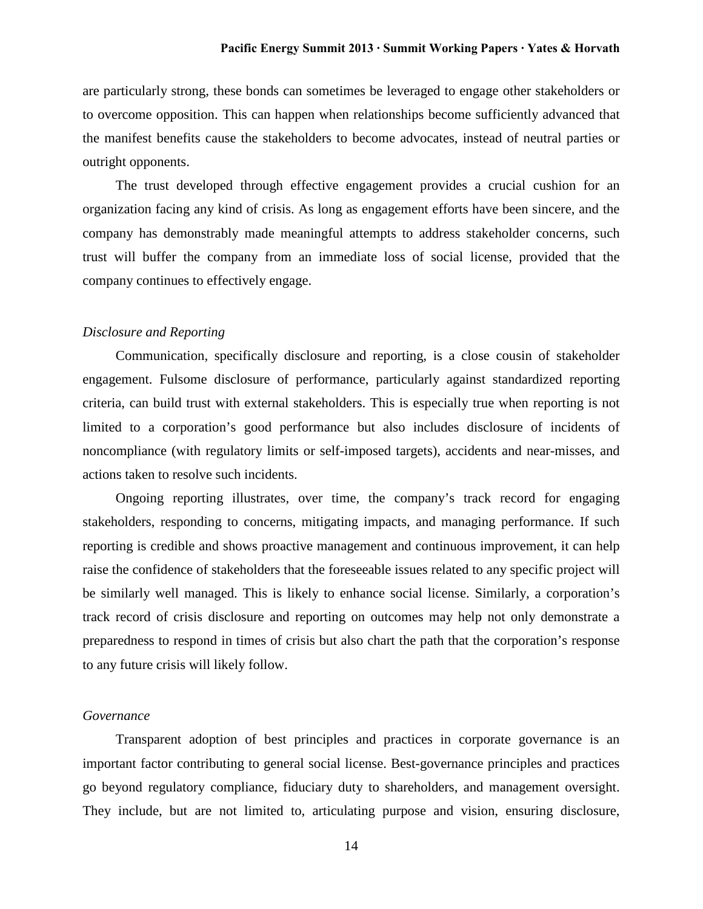are particularly strong, these bonds can sometimes be leveraged to engage other stakeholders or to overcome opposition. This can happen when relationships become sufficiently advanced that the manifest benefits cause the stakeholders to become advocates, instead of neutral parties or outright opponents.

The trust developed through effective engagement provides a crucial cushion for an organization facing any kind of crisis. As long as engagement efforts have been sincere, and the company has demonstrably made meaningful attempts to address stakeholder concerns, such trust will buffer the company from an immediate loss of social license, provided that the company continues to effectively engage.

#### *Disclosure and Reporting*

Communication, specifically disclosure and reporting, is a close cousin of stakeholder engagement. Fulsome disclosure of performance, particularly against standardized reporting criteria, can build trust with external stakeholders. This is especially true when reporting is not limited to a corporation's good performance but also includes disclosure of incidents of noncompliance (with regulatory limits or self-imposed targets), accidents and near-misses, and actions taken to resolve such incidents.

Ongoing reporting illustrates, over time, the company's track record for engaging stakeholders, responding to concerns, mitigating impacts, and managing performance. If such reporting is credible and shows proactive management and continuous improvement, it can help raise the confidence of stakeholders that the foreseeable issues related to any specific project will be similarly well managed. This is likely to enhance social license. Similarly, a corporation's track record of crisis disclosure and reporting on outcomes may help not only demonstrate a preparedness to respond in times of crisis but also chart the path that the corporation's response to any future crisis will likely follow.

### *Governance*

Transparent adoption of best principles and practices in corporate governance is an important factor contributing to general social license. Best-governance principles and practices go beyond regulatory compliance, fiduciary duty to shareholders, and management oversight. They include, but are not limited to, articulating purpose and vision, ensuring disclosure,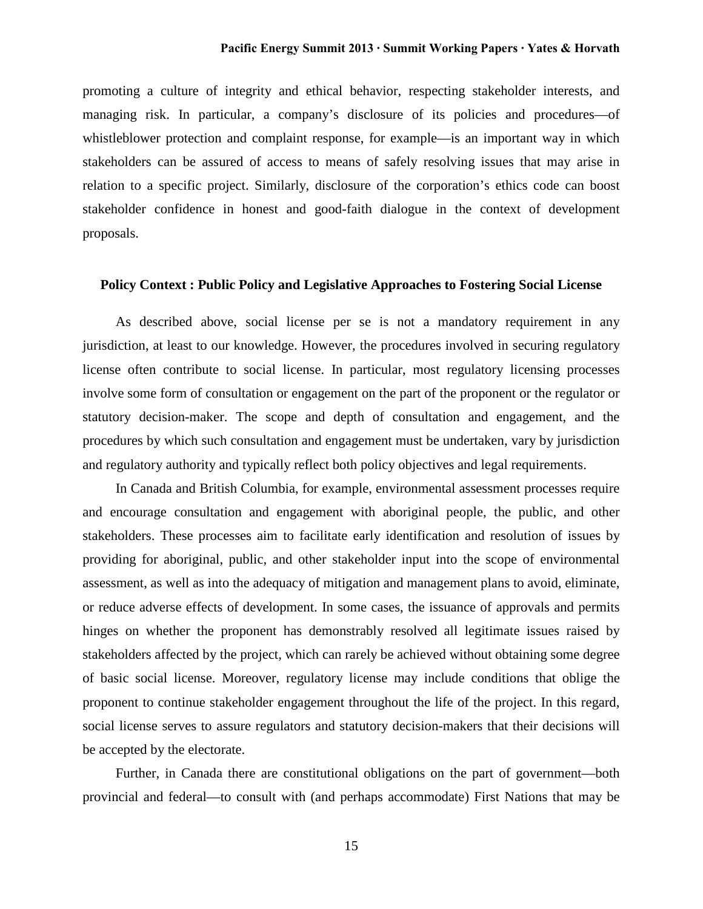promoting a culture of integrity and ethical behavior, respecting stakeholder interests, and managing risk. In particular, a company's disclosure of its policies and procedures—of whistleblower protection and complaint response, for example—is an important way in which stakeholders can be assured of access to means of safely resolving issues that may arise in relation to a specific project. Similarly, disclosure of the corporation's ethics code can boost stakeholder confidence in honest and good-faith dialogue in the context of development proposals.

### **Policy Context : Public Policy and Legislative Approaches to Fostering Social License**

As described above, social license per se is not a mandatory requirement in any jurisdiction, at least to our knowledge. However, the procedures involved in securing regulatory license often contribute to social license. In particular, most regulatory licensing processes involve some form of consultation or engagement on the part of the proponent or the regulator or statutory decision-maker. The scope and depth of consultation and engagement, and the procedures by which such consultation and engagement must be undertaken, vary by jurisdiction and regulatory authority and typically reflect both policy objectives and legal requirements.

In Canada and British Columbia, for example, environmental assessment processes require and encourage consultation and engagement with aboriginal people, the public, and other stakeholders. These processes aim to facilitate early identification and resolution of issues by providing for aboriginal, public, and other stakeholder input into the scope of environmental assessment, as well as into the adequacy of mitigation and management plans to avoid, eliminate, or reduce adverse effects of development. In some cases, the issuance of approvals and permits hinges on whether the proponent has demonstrably resolved all legitimate issues raised by stakeholders affected by the project, which can rarely be achieved without obtaining some degree of basic social license. Moreover, regulatory license may include conditions that oblige the proponent to continue stakeholder engagement throughout the life of the project. In this regard, social license serves to assure regulators and statutory decision-makers that their decisions will be accepted by the electorate.

Further, in Canada there are constitutional obligations on the part of government—both provincial and federal—to consult with (and perhaps accommodate) First Nations that may be

15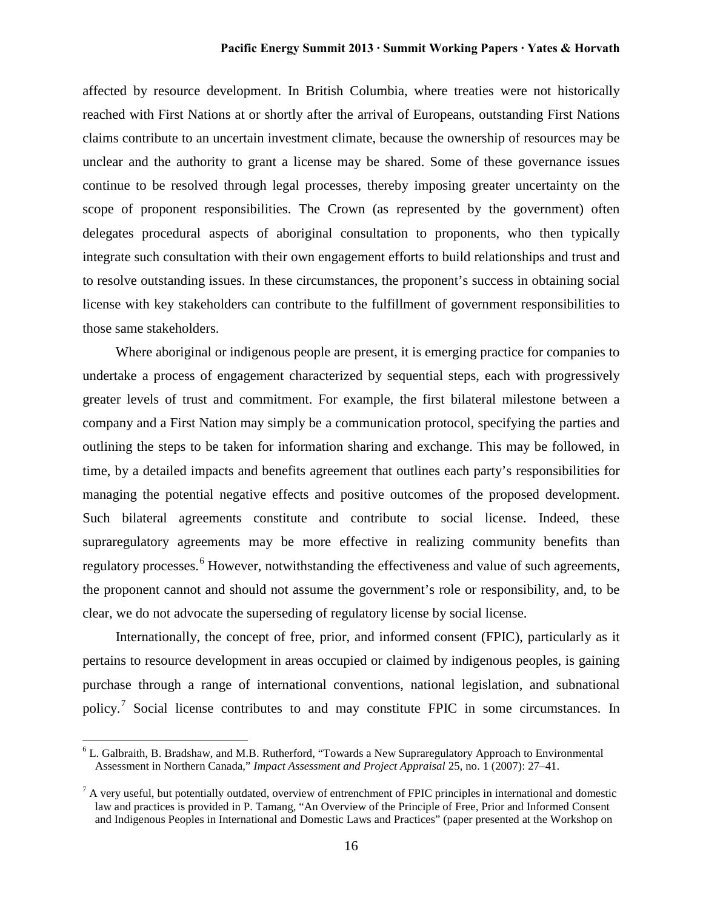affected by resource development. In British Columbia, where treaties were not historically reached with First Nations at or shortly after the arrival of Europeans, outstanding First Nations claims contribute to an uncertain investment climate, because the ownership of resources may be unclear and the authority to grant a license may be shared. Some of these governance issues continue to be resolved through legal processes, thereby imposing greater uncertainty on the scope of proponent responsibilities. The Crown (as represented by the government) often delegates procedural aspects of aboriginal consultation to proponents, who then typically integrate such consultation with their own engagement efforts to build relationships and trust and to resolve outstanding issues. In these circumstances, the proponent's success in obtaining social license with key stakeholders can contribute to the fulfillment of government responsibilities to those same stakeholders.

Where aboriginal or indigenous people are present, it is emerging practice for companies to undertake a process of engagement characterized by sequential steps, each with progressively greater levels of trust and commitment. For example, the first bilateral milestone between a company and a First Nation may simply be a communication protocol, specifying the parties and outlining the steps to be taken for information sharing and exchange. This may be followed, in time, by a detailed impacts and benefits agreement that outlines each party's responsibilities for managing the potential negative effects and positive outcomes of the proposed development. Such bilateral agreements constitute and contribute to social license. Indeed, these supraregulatory agreements may be more effective in realizing community benefits than regulatory processes.<sup>[6](#page-16-0)</sup> However, notwithstanding the effectiveness and value of such agreements, the proponent cannot and should not assume the government's role or responsibility, and, to be clear, we do not advocate the superseding of regulatory license by social license.

Internationally, the concept of free, prior, and informed consent (FPIC), particularly as it pertains to resource development in areas occupied or claimed by indigenous peoples, is gaining purchase through a range of international conventions, national legislation, and subnational policy.<sup>[7](#page-16-1)</sup> Social license contributes to and may constitute FPIC in some circumstances. In

<span id="page-16-0"></span> $6$  L. Galbraith, B. Bradshaw, and M.B. Rutherford, "Towards a New Supraregulatory Approach to Environmental Assessment in Northern Canada," *Impact Assessment and Project Appraisal* 25, no. 1 (2007): 27–41.

<span id="page-16-1"></span> $^7$  A very useful, but potentially outdated, overview of entrenchment of FPIC principles in international and domestic law and practices is provided in P. Tamang, "An Overview of the Principle of Free, Prior and Informed Consent and Indigenous Peoples in International and Domestic Laws and Practices" (paper presented at the Workshop on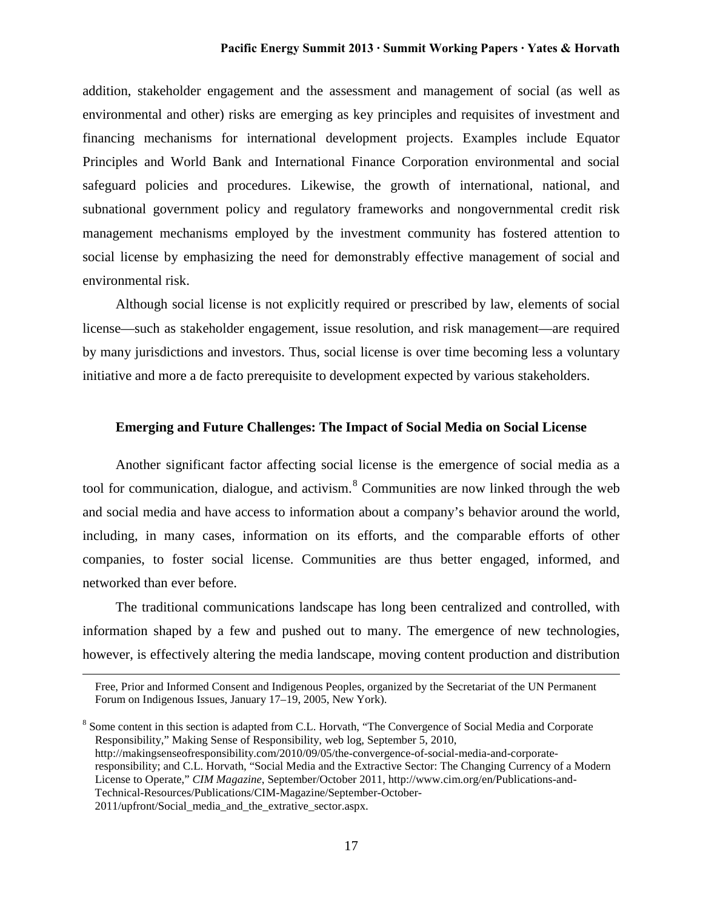addition, stakeholder engagement and the assessment and management of social (as well as environmental and other) risks are emerging as key principles and requisites of investment and financing mechanisms for international development projects. Examples include Equator Principles and World Bank and International Finance Corporation environmental and social safeguard policies and procedures. Likewise, the growth of international, national, and subnational government policy and regulatory frameworks and nongovernmental credit risk management mechanisms employed by the investment community has fostered attention to social license by emphasizing the need for demonstrably effective management of social and environmental risk.

Although social license is not explicitly required or prescribed by law, elements of social license—such as stakeholder engagement, issue resolution, and risk management—are required by many jurisdictions and investors. Thus, social license is over time becoming less a voluntary initiative and more a de facto prerequisite to development expected by various stakeholders.

#### **Emerging and Future Challenges: The Impact of Social Media on Social License**

Another significant factor affecting social license is the emergence of social media as a tool for communication, dialogue, and activism. $8 \text{ Communities}$  $8 \text{ Communities}$  are now linked through the web and social media and have access to information about a company's behavior around the world, including, in many cases, information on its efforts, and the comparable efforts of other companies, to foster social license. Communities are thus better engaged, informed, and networked than ever before.

The traditional communications landscape has long been centralized and controlled, with information shaped by a few and pushed out to many. The emergence of new technologies, however, is effectively altering the media landscape, moving content production and distribution

 $\overline{a}$ 

<span id="page-17-0"></span><sup>8</sup> Some content in this section is adapted from C.L. Horvath, "The Convergence of Social Media and Corporate Responsibility," Making Sense of Responsibility, web log, September 5, 2010, http://makingsenseofresponsibility.com/2010/09/05/the-convergence-of-social-media-and-corporateresponsibility; and C.L. Horvath, "Social Media and the Extractive Sector: The Changing Currency of a Modern License to Operate," *CIM Magazine*, September/October 2011, http://www.cim.org/en/Publications-and-Technical-Resources/Publications/CIM-Magazine/September-October-2011/upfront/Social\_media\_and\_the\_extrative\_sector.aspx.

Free, Prior and Informed Consent and Indigenous Peoples, organized by the Secretariat of the UN Permanent Forum on Indigenous Issues, January 17–19, 2005, New York).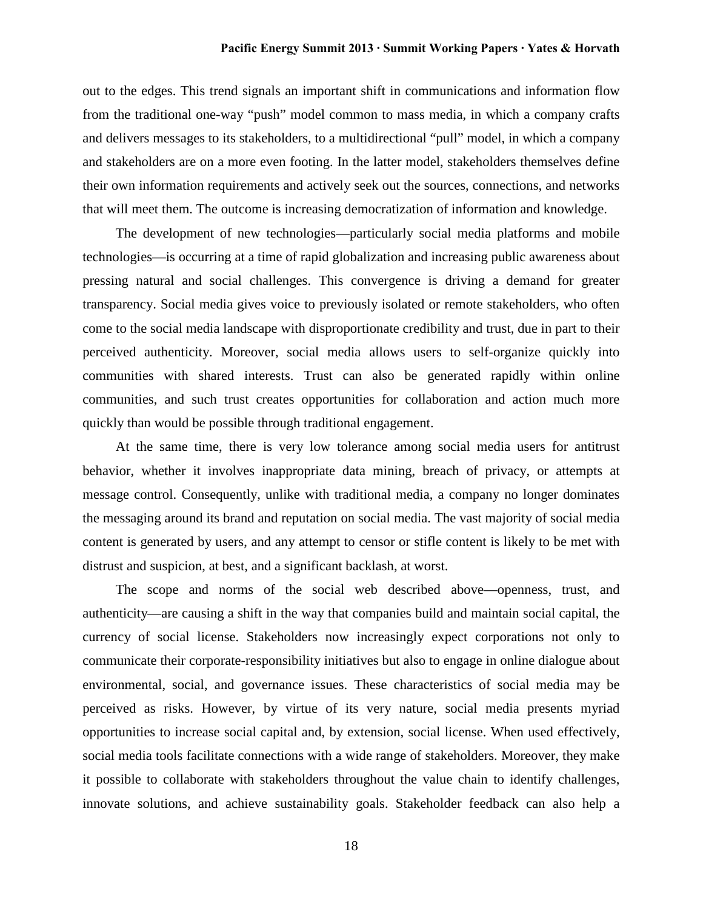out to the edges. This trend signals an important shift in communications and information flow from the traditional one-way "push" model common to mass media, in which a company crafts and delivers messages to its stakeholders, to a multidirectional "pull" model, in which a company and stakeholders are on a more even footing. In the latter model, stakeholders themselves define their own information requirements and actively seek out the sources, connections, and networks that will meet them. The outcome is increasing democratization of information and knowledge.

The development of new technologies—particularly social media platforms and mobile technologies—is occurring at a time of rapid globalization and increasing public awareness about pressing natural and social challenges. This convergence is driving a demand for greater transparency. Social media gives voice to previously isolated or remote stakeholders, who often come to the social media landscape with disproportionate credibility and trust, due in part to their perceived authenticity. Moreover, social media allows users to self-organize quickly into communities with shared interests. Trust can also be generated rapidly within online communities, and such trust creates opportunities for collaboration and action much more quickly than would be possible through traditional engagement.

At the same time, there is very low tolerance among social media users for antitrust behavior, whether it involves inappropriate data mining, breach of privacy, or attempts at message control. Consequently, unlike with traditional media, a company no longer dominates the messaging around its brand and reputation on social media. The vast majority of social media content is generated by users, and any attempt to censor or stifle content is likely to be met with distrust and suspicion, at best, and a significant backlash, at worst.

The scope and norms of the social web described above—openness, trust, and authenticity—are causing a shift in the way that companies build and maintain social capital, the currency of social license. Stakeholders now increasingly expect corporations not only to communicate their corporate-responsibility initiatives but also to engage in online dialogue about environmental, social, and governance issues. These characteristics of social media may be perceived as risks. However, by virtue of its very nature, social media presents myriad opportunities to increase social capital and, by extension, social license. When used effectively, social media tools facilitate connections with a wide range of stakeholders. Moreover, they make it possible to collaborate with stakeholders throughout the value chain to identify challenges, innovate solutions, and achieve sustainability goals. Stakeholder feedback can also help a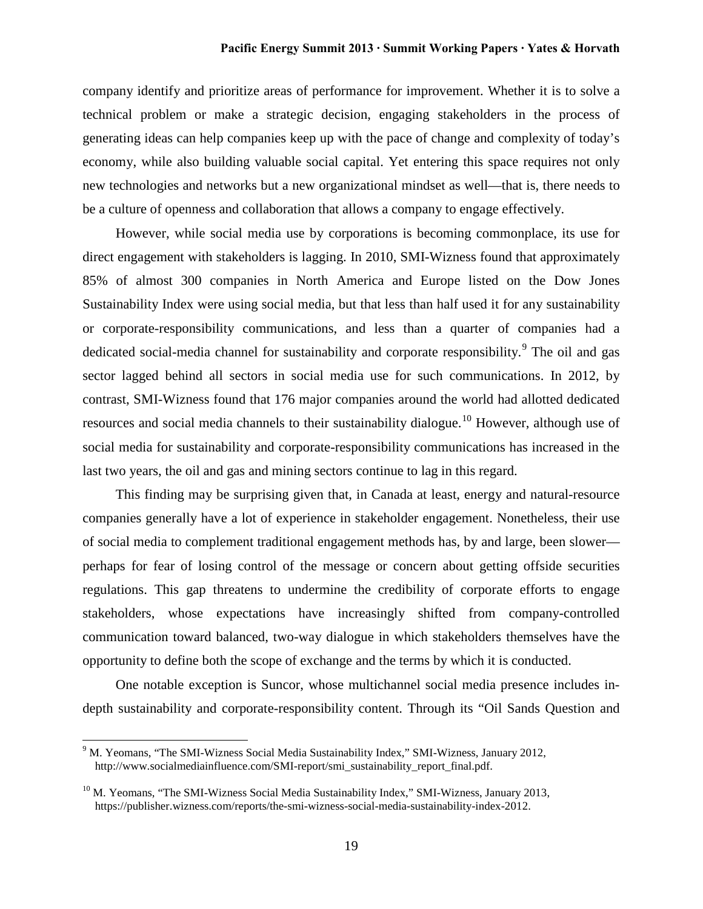company identify and prioritize areas of performance for improvement. Whether it is to solve a technical problem or make a strategic decision, engaging stakeholders in the process of generating ideas can help companies keep up with the pace of change and complexity of today's economy, while also building valuable social capital. Yet entering this space requires not only new technologies and networks but a new organizational mindset as well—that is, there needs to be a culture of openness and collaboration that allows a company to engage effectively.

However, while social media use by corporations is becoming commonplace, its use for direct engagement with stakeholders is lagging. In 2010, SMI-Wizness found that approximately 85% of almost 300 companies in North America and Europe listed on the Dow Jones Sustainability Index were using social media, but that less than half used it for any sustainability or corporate-responsibility communications, and less than a quarter of companies had a dedicated social-media channel for sustainability and corporate responsibility.<sup>[9](#page-19-0)</sup> The oil and gas sector lagged behind all sectors in social media use for such communications. In 2012, by contrast, SMI-Wizness found that 176 major companies around the world had allotted dedicated resources and social media channels to their sustainability dialogue.<sup>[10](#page-19-1)</sup> However, although use of social media for sustainability and corporate-responsibility communications has increased in the last two years, the oil and gas and mining sectors continue to lag in this regard.

This finding may be surprising given that, in Canada at least, energy and natural-resource companies generally have a lot of experience in stakeholder engagement. Nonetheless, their use of social media to complement traditional engagement methods has, by and large, been slower perhaps for fear of losing control of the message or concern about getting offside securities regulations. This gap threatens to undermine the credibility of corporate efforts to engage stakeholders, whose expectations have increasingly shifted from company-controlled communication toward balanced, two-way dialogue in which stakeholders themselves have the opportunity to define both the scope of exchange and the terms by which it is conducted.

One notable exception is Suncor, whose multichannel social media presence includes indepth sustainability and corporate-responsibility content. Through its "Oil Sands Question and

<span id="page-19-0"></span> $9<sup>9</sup>$  M. Yeomans, "The SMI-Wizness Social Media Sustainability Index," SMI-Wizness, January 2012, http://www.socialmediainfluence.com/SMI-report/smi\_sustainability\_report\_final.pdf.

<span id="page-19-1"></span> $10$  M. Yeomans, "The SMI-Wizness Social Media Sustainability Index," SMI-Wizness, January 2013, https://publisher.wizness.com/reports/the-smi-wizness-social-media-sustainability-index-2012.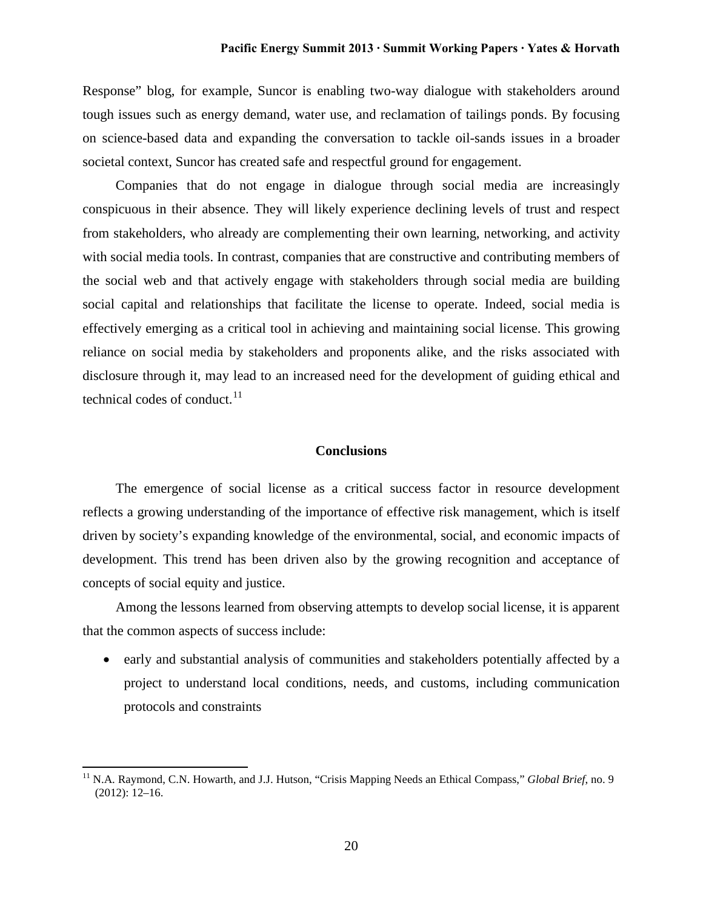Response" blog, for example, Suncor is enabling two-way dialogue with stakeholders around tough issues such as energy demand, water use, and reclamation of tailings ponds. By focusing on science-based data and expanding the conversation to tackle oil-sands issues in a broader societal context, Suncor has created safe and respectful ground for engagement.

Companies that do not engage in dialogue through social media are increasingly conspicuous in their absence. They will likely experience declining levels of trust and respect from stakeholders, who already are complementing their own learning, networking, and activity with social media tools. In contrast, companies that are constructive and contributing members of the social web and that actively engage with stakeholders through social media are building social capital and relationships that facilitate the license to operate. Indeed, social media is effectively emerging as a critical tool in achieving and maintaining social license. This growing reliance on social media by stakeholders and proponents alike, and the risks associated with disclosure through it, may lead to an increased need for the development of guiding ethical and technical codes of conduct.<sup>[11](#page-20-0)</sup>

# **Conclusions**

The emergence of social license as a critical success factor in resource development reflects a growing understanding of the importance of effective risk management, which is itself driven by society's expanding knowledge of the environmental, social, and economic impacts of development. This trend has been driven also by the growing recognition and acceptance of concepts of social equity and justice.

Among the lessons learned from observing attempts to develop social license, it is apparent that the common aspects of success include:

• early and substantial analysis of communities and stakeholders potentially affected by a project to understand local conditions, needs, and customs, including communication protocols and constraints

<span id="page-20-0"></span><sup>&</sup>lt;sup>11</sup> N.A. Raymond, C.N. Howarth, and J.J. Hutson, "Crisis Mapping Needs an Ethical Compass," *Global Brief*, no. 9 (2012): 12–16.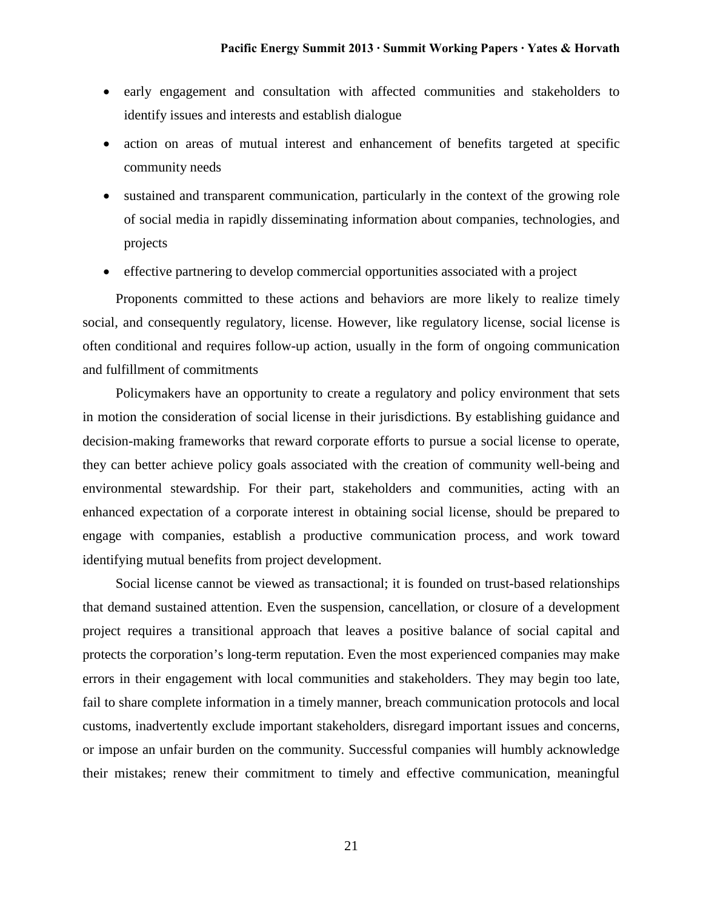- early engagement and consultation with affected communities and stakeholders to identify issues and interests and establish dialogue
- action on areas of mutual interest and enhancement of benefits targeted at specific community needs
- sustained and transparent communication, particularly in the context of the growing role of social media in rapidly disseminating information about companies, technologies, and projects
- effective partnering to develop commercial opportunities associated with a project

Proponents committed to these actions and behaviors are more likely to realize timely social, and consequently regulatory, license. However, like regulatory license, social license is often conditional and requires follow-up action, usually in the form of ongoing communication and fulfillment of commitments

Policymakers have an opportunity to create a regulatory and policy environment that sets in motion the consideration of social license in their jurisdictions. By establishing guidance and decision-making frameworks that reward corporate efforts to pursue a social license to operate, they can better achieve policy goals associated with the creation of community well-being and environmental stewardship. For their part, stakeholders and communities, acting with an enhanced expectation of a corporate interest in obtaining social license, should be prepared to engage with companies, establish a productive communication process, and work toward identifying mutual benefits from project development.

Social license cannot be viewed as transactional; it is founded on trust-based relationships that demand sustained attention. Even the suspension, cancellation, or closure of a development project requires a transitional approach that leaves a positive balance of social capital and protects the corporation's long-term reputation. Even the most experienced companies may make errors in their engagement with local communities and stakeholders. They may begin too late, fail to share complete information in a timely manner, breach communication protocols and local customs, inadvertently exclude important stakeholders, disregard important issues and concerns, or impose an unfair burden on the community. Successful companies will humbly acknowledge their mistakes; renew their commitment to timely and effective communication, meaningful